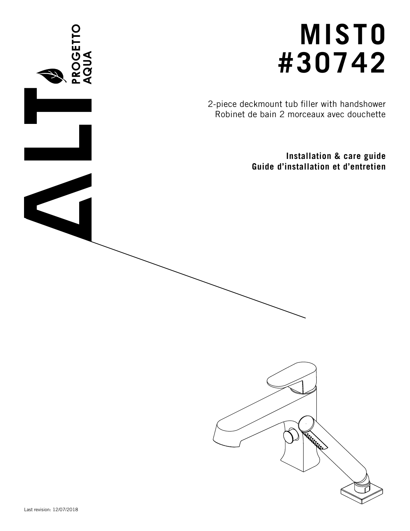

2-piece deckmount tub filler with handshower Robinet de bain 2 morceaux avec douchette

> **Installation & care guide Guide d'installation et d'entretien**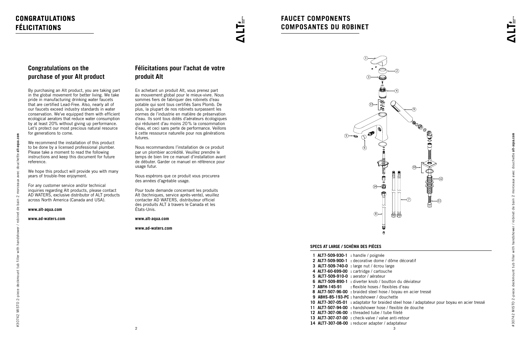### **SPECS AT LARGE / SCHÉMA DES PIÈCES**

| 1 ALT7-509-930-1  | : handle / poignée                               |
|-------------------|--------------------------------------------------|
| 2 ALT7-509-900-1  | : decorative dome / dôme                         |
| 3 ALT7-509-740-0  | : large nut / écrou large                        |
| 4 ALT7-60-699-00  | : cartridge / cartouche                          |
| 5 ALT7-509-910-0  | : aerator / aérateur                             |
| 6 ALT7-509-890-1  | : diverter knob / boutton                        |
| 7 ABFH-145-91     | : flexible hoses / flexibles                     |
| 8 ALT7-507-96-00  | : braided steel hose / boy                       |
|                   | <b>9 ABHS-85-193-PC</b> : handshower / douchette |
| 10 ALT7-307-05-01 | : adaptator for braided ste                      |
| 11 ALT7-507-94-00 | : handshower hose / flexil                       |
| 12 ALT7-307-06-00 | : threaded tube / tube file                      |
| 13 ALT7-307-07-00 | : check-valve / valve anti-                      |
| 14 ALT7-307-08-00 | : reducer adapter / adapta                       |

ôme décoratif **franda déviateur du déviateur du déviateur du déviateur du déviateur du déviateur du déviateur du déviateur du**  $i$ bles d'eau  **8 ALT7-507-96-00 :** braided steel hose / boyau en acier tressé **10 ALT7-307-05-01 :** adaptator for braided steel hose / adaptateur pour boyau en acier tressé flexible de douche **12 ALT7-307-06-00 :** threaded tube / tube fileté **13 ALT7-307-07-00 :** check-valve / valve anti-retour **14 ALT7-307-08-00 :** reducer adapter / adaptateur



## **CONGRATULATIONS FÉLICITATIONS**

## **Congratulations on the purchase of your Alt product**

By purchasing an Alt product, you are taking part in the global movement for better living. We take pride in manufacturing drinking water faucets that are certified Lead-Free. Also, nearly all of our faucets exceed industry standards in water conservation. We've equipped them with efficient ecological aerators that reduce water consumption by at least 20% without giving up performance. Let's protect our most precious natural resource for generations to come.

We recommend the installation of this product to be done by a licensed professional plumber. Please take a moment to read the following instructions and keep this document for future reference.

We hope this product will provide you with many years of trouble-free enjoyment.

For any customer service and/or technical inquiries regarding Alt products, please contact AD WATERS, exclusive distributor of ALT products across North America (Canada and USA).

### **www.alt-aqua.com**

**www.ad-waters.com**

**Félicitations pour l'achat de votre** 

**produit Alt**

En achetant un produit Alt, vous prenez part au mouvement global pour le mieux-vivre. Nous sommes fiers de fabriquer des robinets d'eau potable qui sont tous certifiés Sans Plomb. De plus, la plupart de nos robinets surpassent les normes de l'industrie en matière de préservation d'eau. Ils sont tous dotés d'aérateurs écologiques qui réduisent d'au moins 20% la consommation d'eau, et ceci sans perte de performance. Veillons à cette ressource naturelle pour nos générations

futures.

Nous recommandons l'installation de ce produit par un plombier accrédité. Veuillez prendre le temps de bien lire ce manuel d'installation avant de débuter. Garder ce manuel en référence pour

usage futur.

Nous espérons que ce produit vous procurera

des années d'agréable usage.

Pour toute demande concernant les produits Alt (techniques, service après-vente), veuillez contacter AD WATERS, distributeur officiel des produits ALT à travers le Canada et les

États-Unis.

**www.alt-aqua.com**

**www.ad-waters.com**

## **FAUCET COMPONENTS COMPOSANTES DU ROBINET**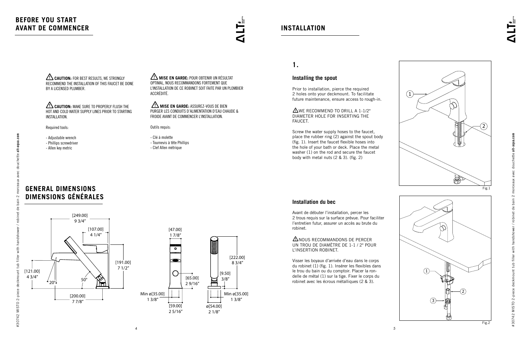#30742 MISTO 2-piece deckmount tub filler with handshower / robinet de bain 2 morceaux avec douchette **alt-aqua.com** alt-aqua.cc nette  $\sim$ bain  $\frac{1}{\sigma}$ handshower with  $\tilde{\mathbf{e}}$ 言 nount tub deck 130742 MISTO 2-piece

### **Installation du bec**

ANOUS RECOMMANDONS DE PERCER UN TROU DE DIAMÈTRE DE 1-1 / 2" POUR L'INSERTION ROBINET.

Avant de débuter l'installation, percer les 2 trous requis sur la surface prévue. Pour faciliter l'entretien futur, assurer un accès au brute du robinet.

**CAUTION:** FOR BEST RESULTS, WE STRONGLY RECOMMEND THE INSTALLATION OF THIS FAUCET BE DONE

**CAUTION:** MAKE SURE TO PROPERLY FLUSH THE HOT AND COLD WATER SUPPLY LINES PRIOR TO STARTING

**MISE EN GARDE:** POUR OBTENIR UN RÉSULTAT OPTIMAL, NOUS RECOMMANDONS FORTEMENT QUE

> Visser les boyaux d'arrivée d'eau dans le corps du robinet (1) (fig. 1). Insérer les flexibles dans le trou du bain ou du comptoir. Placer la rondelle de métal (1) sur la tige. Fixer le corps du robinet avec les écrous métalliques (2 & 3).

**MISE EN GARDE:** ASSUREZ-VOUS DE BIEN PURGER LES CONDUITS D'ALIMENTATION D'EAU CHAUDE &

 $\triangle$ WE RECOMMEND TO DRILL A 1-1/2" DIAMETER HOLE FOR INSERTING THE FAUCET.

BY A LICENSED PLUMBER.

INSTALLATION.

Required tools:

- Adjustable wrench - Phillips screwdriver - Allen key metric

L'INSTALLATION DE CE ROBINET SOIT FAITE PAR UN PLOMBIER

ACCRÉDITÉ.

FROIDE AVANT DE COMMENCER L'INSTALLATION.

Outils requis:

- Clé à molette

- Tournevis à tête Phillips - Clef Allen métrique

## **1.**

### **Installing the spout**

Prior to installation, pierce the required 2 holes onto your deckmount. To facilitate future maintenance, ensure access to rough-in.





Screw the water supply hoses to the faucet, place the rubber ring (2) against the spout body (fig. 1). Insert the faucet flexible hoses into the hole of your bath or deck. Place the metal washer (1) on the rod and secure the faucet body with metal nuts (2 & 3). (fig. 2)



## **GENERAL DIMENSIONS DIMENSIONS GÉNÉRALES**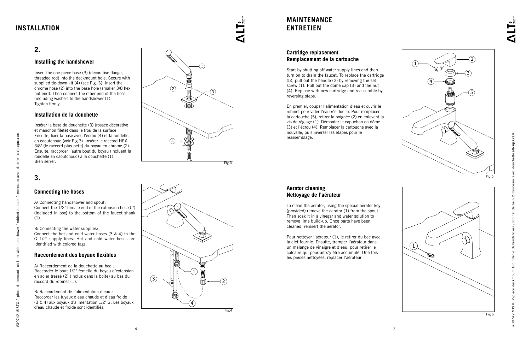#30742 MISTO 2-piece deckmount tub filler with handshower / robinet de bain 2 morceaux avec douchette **alt-aqua.com** ouchette alt-aqua.com de bain handshower / with  $\tilde{\mathbf{e}}$ 듵 #30742 MISTO 2-piece deckmount tub

## **2.**

### **Installing the handshower**

Insert the one piece base (3) (decorative flange, threaded rod) into the deckmount hole. Secure with supplied tie-down kit (4) (see Fig. 3). Insert the chrome hose (2) into the base hole (smaller 3/8 hex nut end). Then connect the other end of the hose (including washer) to the handshower (1). Tighten firmly.

### **Installation de la douchette**

Insérer la base de douchette (3) (rosace décorative et manchon fileté) dans le trou de la surface. Ensuite, fixer la base avec l'écrou (4) et la rondelle en caoutchouc (voir Fig.3). Insérer le raccord HEX 3/8" (le raccord plus petit) du boyau en chrome (2). Ensuite, raccorder l'autre bout du boyau (incluant la rondelle en caoutchouc) à la douchette (1).





# **3.**

### **Connecting the hoses**

A/ Connecting handshower and spout: Connect the 1/2" female end of the extension hose (2) (included in box) to the bottom of the faucet shank (1).

B/ Connecting the water supplies: Connect the hot and cold water hoses (3 & 4) to the G 1/2" supply lines. Hot and cold water hoses are

identified with colored tags.

### **Raccordement des boyaux flexibles**

A/ Raccordement de la douchette au bec : Raccorder le bout 1/2" femelle du boyau d'extension en acier tressé (2) (inclus dans la boite) au bas du raccord du robinet (1).

B/ Raccordement de l'alimentation d'eau : Raccorder les tuyaux d'eau chaude et d'eau froide (3 & 4) aux boyaux d'alimentation 1/2" G. Les boyaux d'eau chaude et froide sont identifiés.

### **Cartridge replacement Remplacement de la cartouche**

Start by shutting off water supply lines and then turn on to drain the faucet. To replace the cartridge (5), pull out the handle (2) by removing the set screw (1). Pull out the dome cap (3) and the nut (4). Replace with new cartridge and reassemble by reversing steps.

En premier, couper l'alimentation d'eau et ouvrir le robinet pour vider l'eau résiduelle. Pour remplacer la cartouche (5), retirer la poignée (2) en enlevant la vis de réglage (1). Démonter le capuchon en dôme (3) et l'écrou (4). Remplacer la cartouche avec la nouvelle, puis inverser les étapes pour le réassemblage.



## **INSTALLATION**

## **MAINTENANCE ENTRETIEN**

### **Aerator cleaning Nettoyage de l'aérateur**

To clean the aerator, using the special aerator key (provided) remove the aerator (1) from the spout. Then soak it in a vinegar and water solution to remove lime build-up. Once parts have been cleaned, reinsert the aerator.

Pour nettoyer l'aérateur (1), le retirer du bec avec la clef fournie. Ensuite, tremper l'aérateur dans un mélange de vinaigre et d'eau, pour retirer le calcaire qui pourrait s'y être accumulé. Une fois les pièces nettoyées, replacer l'aérateur.